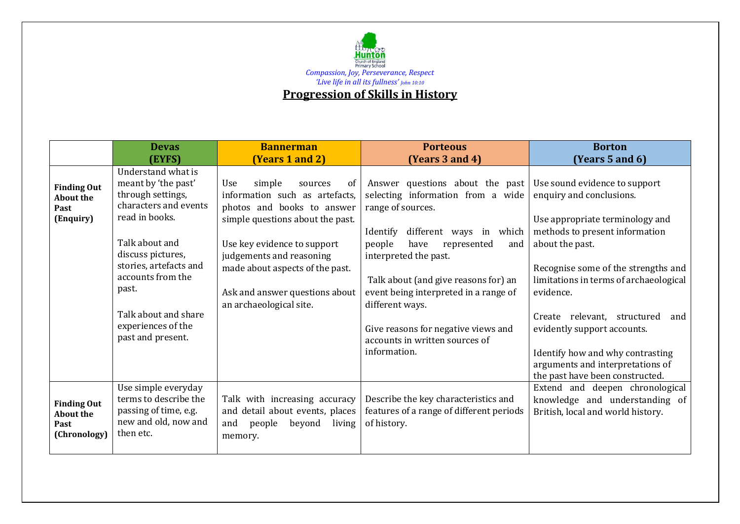

|                                                                | <b>Devas</b><br>(EYFS)                                                                                                                                                                                                                                                      | <b>Bannerman</b><br>(Years 1 and 2)                                                                                                                                                                                                                                                           | <b>Porteous</b><br>(Years 3 and 4)                                                                                                                                                                                                                                                                                                                                                             | <b>Borton</b><br>(Years 5 and $6$ )                                                                                                                                                                                                                                                                                                                                                                                             |
|----------------------------------------------------------------|-----------------------------------------------------------------------------------------------------------------------------------------------------------------------------------------------------------------------------------------------------------------------------|-----------------------------------------------------------------------------------------------------------------------------------------------------------------------------------------------------------------------------------------------------------------------------------------------|------------------------------------------------------------------------------------------------------------------------------------------------------------------------------------------------------------------------------------------------------------------------------------------------------------------------------------------------------------------------------------------------|---------------------------------------------------------------------------------------------------------------------------------------------------------------------------------------------------------------------------------------------------------------------------------------------------------------------------------------------------------------------------------------------------------------------------------|
| <b>Finding Out</b><br><b>About the</b><br>Past<br>(Enquiry)    | Understand what is<br>meant by 'the past'<br>through settings,<br>characters and events<br>read in books.<br>Talk about and<br>discuss pictures,<br>stories, artefacts and<br>accounts from the<br>past.<br>Talk about and share<br>experiences of the<br>past and present. | Use<br>simple<br>of<br>sources<br>information such as artefacts,<br>photos and books to answer<br>simple questions about the past.<br>Use key evidence to support<br>judgements and reasoning<br>made about aspects of the past.<br>Ask and answer questions about<br>an archaeological site. | Answer questions about the past<br>selecting information from a wide<br>range of sources.<br>different ways in which<br>Identify<br>people<br>have<br>represented<br>and<br>interpreted the past.<br>Talk about (and give reasons for) an<br>event being interpreted in a range of<br>different ways.<br>Give reasons for negative views and<br>accounts in written sources of<br>information. | Use sound evidence to support<br>enquiry and conclusions.<br>Use appropriate terminology and<br>methods to present information<br>about the past.<br>Recognise some of the strengths and<br>limitations in terms of archaeological<br>evidence.<br>Create relevant, structured<br>and<br>evidently support accounts.<br>Identify how and why contrasting<br>arguments and interpretations of<br>the past have been constructed. |
| <b>Finding Out</b><br><b>About the</b><br>Past<br>(Chronology) | Use simple everyday<br>terms to describe the<br>passing of time, e.g.<br>new and old, now and<br>then etc.                                                                                                                                                                  | Talk with increasing accuracy<br>and detail about events, places<br>beyond<br>living<br>and<br>people<br>memory.                                                                                                                                                                              | Describe the key characteristics and<br>features of a range of different periods<br>of history.                                                                                                                                                                                                                                                                                                | Extend and deepen chronological<br>knowledge and understanding of<br>British, local and world history.                                                                                                                                                                                                                                                                                                                          |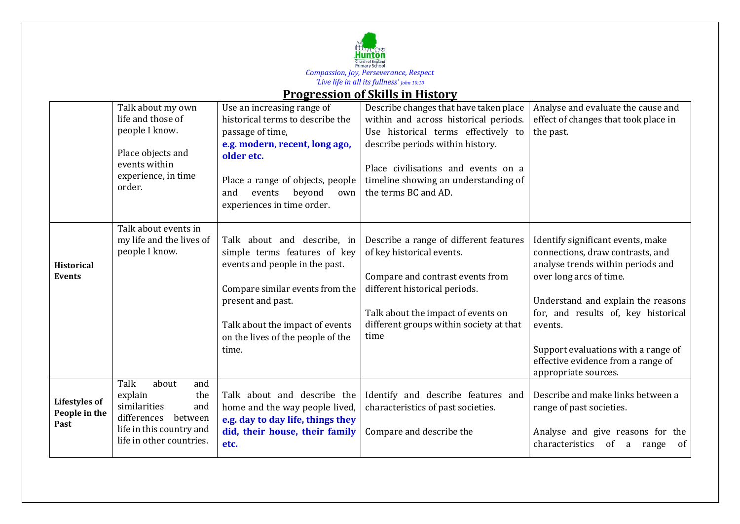

## **Progression of Skills in History**

|                                               | Talk about my own<br>life and those of<br>people I know.<br>Place objects and<br>events within<br>experience, in time<br>order.                 | Use an increasing range of<br>historical terms to describe the<br>passage of time,<br>e.g. modern, recent, long ago,<br>older etc.<br>Place a range of objects, people<br>events<br>beyond<br>and<br>own<br>experiences in time order. | Describe changes that have taken place<br>within and across historical periods.<br>Use historical terms effectively to<br>describe periods within history.<br>Place civilisations and events on a<br>timeline showing an understanding of<br>the terms BC and AD. | Analyse and evaluate the cause and<br>effect of changes that took place in<br>the past.                                                                                                                                                                                                                                            |
|-----------------------------------------------|-------------------------------------------------------------------------------------------------------------------------------------------------|----------------------------------------------------------------------------------------------------------------------------------------------------------------------------------------------------------------------------------------|-------------------------------------------------------------------------------------------------------------------------------------------------------------------------------------------------------------------------------------------------------------------|------------------------------------------------------------------------------------------------------------------------------------------------------------------------------------------------------------------------------------------------------------------------------------------------------------------------------------|
| <b>Historical</b><br><b>Events</b>            | Talk about events in<br>my life and the lives of<br>people I know.                                                                              | Talk about and describe, in<br>simple terms features of key<br>events and people in the past.<br>Compare similar events from the<br>present and past.<br>Talk about the impact of events<br>on the lives of the people of the<br>time. | Describe a range of different features<br>of key historical events.<br>Compare and contrast events from<br>different historical periods.<br>Talk about the impact of events on<br>different groups within society at that<br>time                                 | Identify significant events, make<br>connections, draw contrasts, and<br>analyse trends within periods and<br>over long arcs of time.<br>Understand and explain the reasons<br>for, and results of, key historical<br>events.<br>Support evaluations with a range of<br>effective evidence from a range of<br>appropriate sources. |
| <b>Lifestyles of</b><br>People in the<br>Past | Talk<br>about<br>and<br>explain<br>the<br>similarities<br>and<br>differences<br>between<br>life in this country and<br>life in other countries. | Talk about and describe the<br>home and the way people lived,<br>e.g. day to day life, things they<br>did, their house, their family<br>etc.                                                                                           | Identify and describe features and<br>characteristics of past societies.<br>Compare and describe the                                                                                                                                                              | Describe and make links between a<br>range of past societies.<br>Analyse and give reasons for the<br>characteristics of<br>of<br>a range                                                                                                                                                                                           |